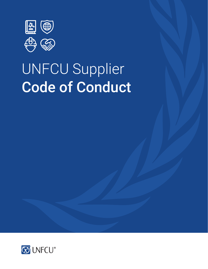

# UNFCU Supplier Code of Conduct

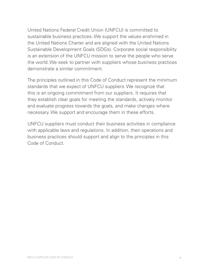United Nations Federal Credit Union (UNFCU) is committed to sustainable business practices. We support the values enshrined in the United Nations Charter and are aligned with the United Nations Sustainable Development Goals (SDGs). Corporate social responsibility is an extension of the UNFCU mission to serve the people who serve the world. We seek to partner with suppliers whose business practices demonstrate a similar commitment.

The principles outlined in this Code of Conduct represent the minimum standards that we expect of UNFCU suppliers. We recognize that this is an ongoing commitment from our suppliers. It requires that they establish clear goals for meeting the standards, actively monitor and evaluate progress towards the goals, and make changes where necessary. We support and encourage them in these efforts.

UNFCU suppliers must conduct their business activities in compliance with applicable laws and regulations. In addition, their operations and business practices should support and align to the principles in this Code of Conduct.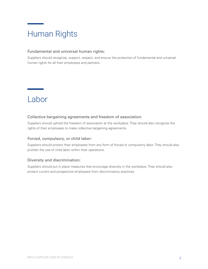## Human Rights

#### Fundamental and universal human rights:

Suppliers should recognize, support, respect, and ensure the protection of fundamental and universal human rights for all their employees and partners.

### Labor

#### Collective bargaining agreements and freedom of association:

Suppliers should uphold the freedom of association at the workplace. They should also recognize the rights of their employees to make collective bargaining agreements.

#### Forced, compulsory, or child labor:

Suppliers should protect their employees from any form of forced or compulsory labor. They should also prohibit the use of child labor within their operations.

#### Diversity and discrimination:

Suppliers should put in place measures that encourage diversity in the workplace. They should also protect current and prospective employees from discriminatory practices.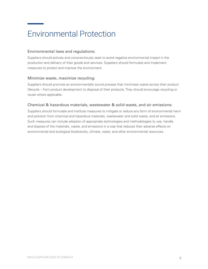## Environmental Protection

### Environmental laws and regulations:

Suppliers should actively and conscientiously seek to avoid negative environmental impact in the production and delivery of their goods and services. Suppliers should formulate and implement measures to protect and improve the environment.

#### Minimize waste, maximize recycling:

Suppliers should promote an environmentally sound process that minimizes waste across their product lifecycle – from product development to disposal of their products. They should encourage recycling or reuse where applicable.

#### Chemical & hazardous materials, wastewater & solid waste, and air emissions:

Suppliers should formulate and institute measures to mitigate or reduce any form of environmental harm and pollution from chemical and hazardous materials, wastewater and solid waste, and air emissions. Such measures can include adoption of appropriate technologies and methodologies to use, handle and dispose of the materials, waste, and emissions in a way that reduces their adverse effects on environmental and ecological biodiversity, climate, water, and other environmental resources.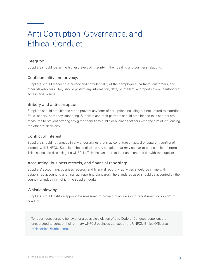### Anti-Corruption, Governance, and Ethical Conduct

#### Integrity:

Suppliers should foster the highest levels of integrity in their dealing and business relations.

#### Confidentiality and privacy:

Suppliers should respect the privacy and confidentiality of their employees, partners, customers, and other stakeholders. They should protect any information, data, or intellectual property from unauthorized access and misuse.

#### Bribery and anti-corruption:

Suppliers should prohibit and act to prevent any form of corruption, including but not limited to extortion, fraud, bribery, or money laundering. Suppliers and their partners should prohibit and take appropriate measures to prevent offering any gift or benefit to public or business officers with the aim of influencing the officers' decisions.

#### Conflict of interest:

Suppliers should not engage in any undertakings that may constitute an actual or apparent conflict of interest with UNFCU. Suppliers should disclose any situation that may appear to be a conflict of interest. This can include disclosing if a UNFCU official has an interest in or an economic tie with the supplier.

#### Accounting, business records, and financial reporting:

Suppliers' accounting, business records, and financial reporting activities should be in line with established accounting and financial reporting standards. The standards used should be accepted by the country or industry in which the supplier works.

#### Whistle blowing:

Suppliers should institute appropriate measures to protect individuals who report unethical or corrupt conduct.

To report questionable behavior or a possible violation of this Code of Conduct, suppliers are encouraged to contact their primary UNFCU business contact or the UNFCU Ethics Officer at e[thicsofficer@unfcu.com](mailto:EthicsOfficer%40unfcu.com?subject=).